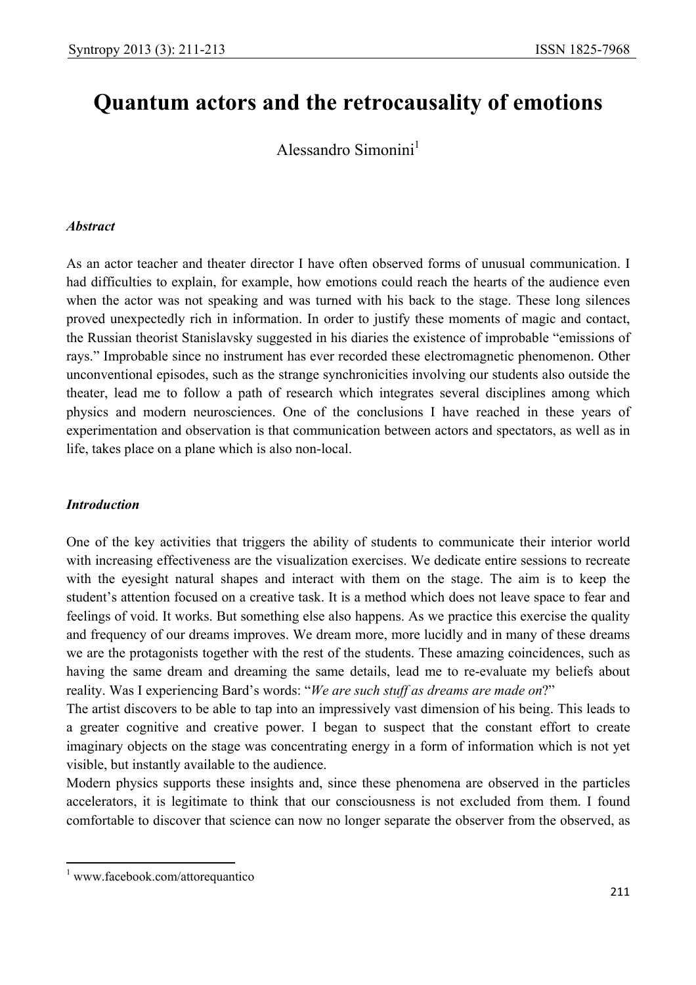# **Quantum actors and the retrocausality of emotions**

Alessandro Simonini $<sup>1</sup>$ </sup>

#### *Abstract*

As an actor teacher and theater director I have often observed forms of unusual communication. I had difficulties to explain, for example, how emotions could reach the hearts of the audience even when the actor was not speaking and was turned with his back to the stage. These long silences proved unexpectedly rich in information. In order to justify these moments of magic and contact, the Russian theorist Stanislavsky suggested in his diaries the existence of improbable "emissions of rays." Improbable since no instrument has ever recorded these electromagnetic phenomenon. Other unconventional episodes, such as the strange synchronicities involving our students also outside the theater, lead me to follow a path of research which integrates several disciplines among which physics and modern neurosciences. One of the conclusions I have reached in these years of experimentation and observation is that communication between actors and spectators, as well as in life, takes place on a plane which is also non-local.

#### *Introduction*

One of the key activities that triggers the ability of students to communicate their interior world with increasing effectiveness are the visualization exercises. We dedicate entire sessions to recreate with the eyesight natural shapes and interact with them on the stage. The aim is to keep the student's attention focused on a creative task. It is a method which does not leave space to fear and feelings of void. It works. But something else also happens. As we practice this exercise the quality and frequency of our dreams improves. We dream more, more lucidly and in many of these dreams we are the protagonists together with the rest of the students. These amazing coincidences, such as having the same dream and dreaming the same details, lead me to re-evaluate my beliefs about reality. Was I experiencing Bard's words: "*We are such stuff as dreams are made on*?"

The artist discovers to be able to tap into an impressively vast dimension of his being. This leads to a greater cognitive and creative power. I began to suspect that the constant effort to create imaginary objects on the stage was concentrating energy in a form of information which is not yet visible, but instantly available to the audience.

Modern physics supports these insights and, since these phenomena are observed in the particles accelerators, it is legitimate to think that our consciousness is not excluded from them. I found comfortable to discover that science can now no longer separate the observer from the observed, as

 $\overline{a}$ 

<sup>1</sup> www.facebook.com/attorequantico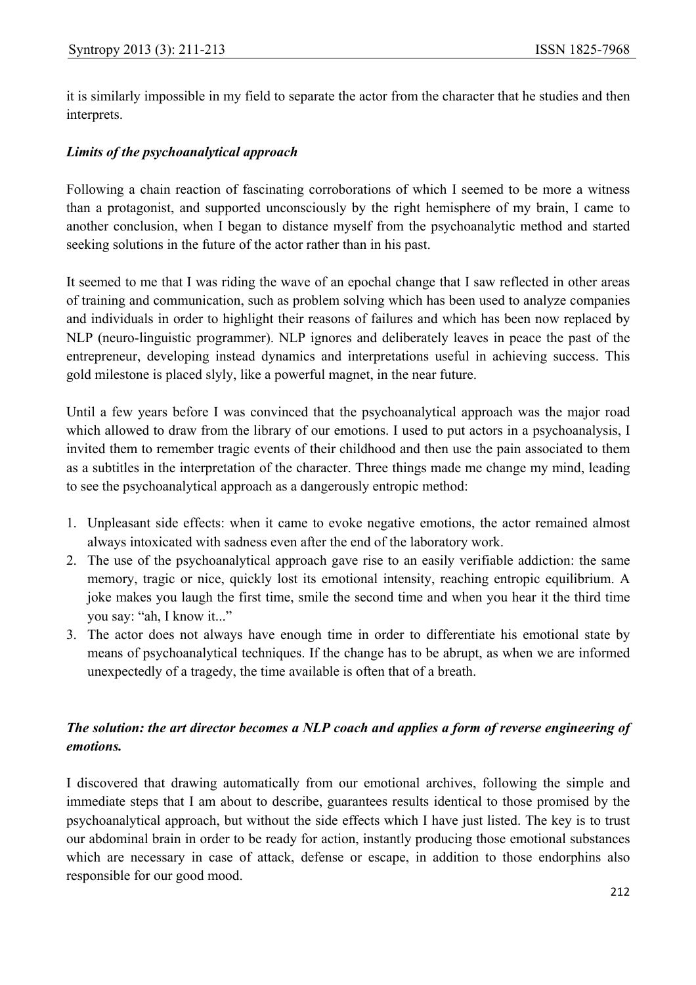it is similarly impossible in my field to separate the actor from the character that he studies and then interprets.

## *Limits of the psychoanalytical approach*

Following a chain reaction of fascinating corroborations of which I seemed to be more a witness than a protagonist, and supported unconsciously by the right hemisphere of my brain, I came to another conclusion, when I began to distance myself from the psychoanalytic method and started seeking solutions in the future of the actor rather than in his past.

It seemed to me that I was riding the wave of an epochal change that I saw reflected in other areas of training and communication, such as problem solving which has been used to analyze companies and individuals in order to highlight their reasons of failures and which has been now replaced by NLP (neuro-linguistic programmer). NLP ignores and deliberately leaves in peace the past of the entrepreneur, developing instead dynamics and interpretations useful in achieving success. This gold milestone is placed slyly, like a powerful magnet, in the near future.

Until a few years before I was convinced that the psychoanalytical approach was the major road which allowed to draw from the library of our emotions. I used to put actors in a psychoanalysis, I invited them to remember tragic events of their childhood and then use the pain associated to them as a subtitles in the interpretation of the character. Three things made me change my mind, leading to see the psychoanalytical approach as a dangerously entropic method:

- 1. Unpleasant side effects: when it came to evoke negative emotions, the actor remained almost always intoxicated with sadness even after the end of the laboratory work.
- 2. The use of the psychoanalytical approach gave rise to an easily verifiable addiction: the same memory, tragic or nice, quickly lost its emotional intensity, reaching entropic equilibrium. A joke makes you laugh the first time, smile the second time and when you hear it the third time you say: "ah, I know it..."
- 3. The actor does not always have enough time in order to differentiate his emotional state by means of psychoanalytical techniques. If the change has to be abrupt, as when we are informed unexpectedly of a tragedy, the time available is often that of a breath.

## *The solution: the art director becomes a NLP coach and applies a form of reverse engineering of emotions.*

I discovered that drawing automatically from our emotional archives, following the simple and immediate steps that I am about to describe, guarantees results identical to those promised by the psychoanalytical approach, but without the side effects which I have just listed. The key is to trust our abdominal brain in order to be ready for action, instantly producing those emotional substances which are necessary in case of attack, defense or escape, in addition to those endorphins also responsible for our good mood.